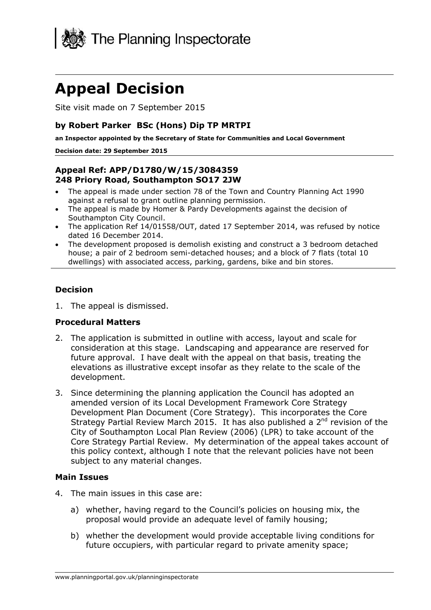

# **Appeal Decision**

Site visit made on 7 September 2015

#### **by Robert Parker BSc (Hons) Dip TP MRTPI**

**an Inspector appointed by the Secretary of State for Communities and Local Government**

#### **Decision date: 29 September 2015**

#### **Appeal Ref: APP/D1780/W/15/3084359 248 Priory Road, Southampton SO17 2JW**

- The appeal is made under section 78 of the Town and Country Planning Act 1990 against a refusal to grant outline planning permission.
- The appeal is made by Homer & Pardy Developments against the decision of Southampton City Council.
- The application Ref 14/01558/OUT, dated 17 September 2014, was refused by notice dated 16 December 2014.
- The development proposed is demolish existing and construct a 3 bedroom detached house; a pair of 2 bedroom semi-detached houses; and a block of 7 flats (total 10 dwellings) with associated access, parking, gardens, bike and bin stores.

#### **Decision**

1. The appeal is dismissed.

#### **Procedural Matters**

- 2. The application is submitted in outline with access, layout and scale for consideration at this stage. Landscaping and appearance are reserved for future approval. I have dealt with the appeal on that basis, treating the elevations as illustrative except insofar as they relate to the scale of the development.
- 3. Since determining the planning application the Council has adopted an amended version of its Local Development Framework Core Strategy Development Plan Document (Core Strategy). This incorporates the Core Strategy Partial Review March 2015. It has also published a  $2^{nd}$  revision of the City of Southampton Local Plan Review (2006) (LPR) to take account of the Core Strategy Partial Review. My determination of the appeal takes account of this policy context, although I note that the relevant policies have not been subject to any material changes.

#### **Main Issues**

- 4. The main issues in this case are:
	- a) whether, having regard to the Council's policies on housing mix, the proposal would provide an adequate level of family housing;
	- b) whether the development would provide acceptable living conditions for future occupiers, with particular regard to private amenity space;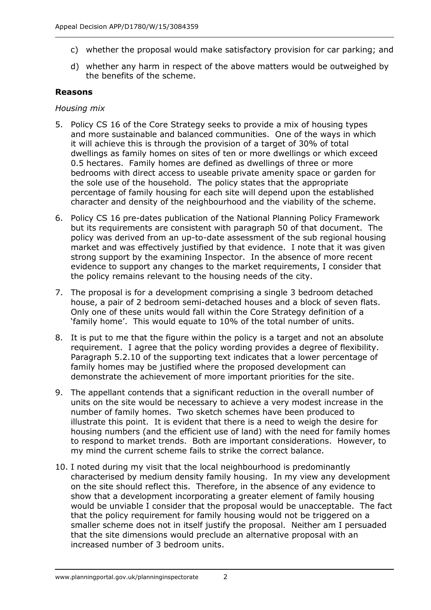- c) whether the proposal would make satisfactory provision for car parking; and
- d) whether any harm in respect of the above matters would be outweighed by the benefits of the scheme.

#### **Reasons**

#### *Housing mix*

- 5. Policy CS 16 of the Core Strategy seeks to provide a mix of housing types and more sustainable and balanced communities. One of the ways in which it will achieve this is through the provision of a target of 30% of total dwellings as family homes on sites of ten or more dwellings or which exceed 0.5 hectares. Family homes are defined as dwellings of three or more bedrooms with direct access to useable private amenity space or garden for the sole use of the household. The policy states that the appropriate percentage of family housing for each site will depend upon the established character and density of the neighbourhood and the viability of the scheme.
- 6. Policy CS 16 pre-dates publication of the National Planning Policy Framework but its requirements are consistent with paragraph 50 of that document. The policy was derived from an up-to-date assessment of the sub regional housing market and was effectively justified by that evidence. I note that it was given strong support by the examining Inspector. In the absence of more recent evidence to support any changes to the market requirements, I consider that the policy remains relevant to the housing needs of the city.
- 7. The proposal is for a development comprising a single 3 bedroom detached house, a pair of 2 bedroom semi-detached houses and a block of seven flats. Only one of these units would fall within the Core Strategy definition of a 'family home'. This would equate to 10% of the total number of units.
- 8. It is put to me that the figure within the policy is a target and not an absolute requirement. I agree that the policy wording provides a degree of flexibility. Paragraph 5.2.10 of the supporting text indicates that a lower percentage of family homes may be justified where the proposed development can demonstrate the achievement of more important priorities for the site.
- 9. The appellant contends that a significant reduction in the overall number of units on the site would be necessary to achieve a very modest increase in the number of family homes. Two sketch schemes have been produced to illustrate this point. It is evident that there is a need to weigh the desire for housing numbers (and the efficient use of land) with the need for family homes to respond to market trends. Both are important considerations. However, to my mind the current scheme fails to strike the correct balance.
- 10. I noted during my visit that the local neighbourhood is predominantly characterised by medium density family housing. In my view any development on the site should reflect this. Therefore, in the absence of any evidence to show that a development incorporating a greater element of family housing would be unviable I consider that the proposal would be unacceptable. The fact that the policy requirement for family housing would not be triggered on a smaller scheme does not in itself justify the proposal. Neither am I persuaded that the site dimensions would preclude an alternative proposal with an increased number of 3 bedroom units.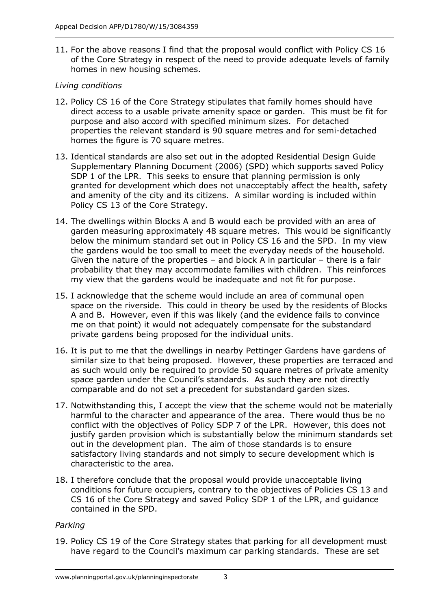11. For the above reasons I find that the proposal would conflict with Policy CS 16 of the Core Strategy in respect of the need to provide adequate levels of family homes in new housing schemes.

# *Living conditions*

- 12. Policy CS 16 of the Core Strategy stipulates that family homes should have direct access to a usable private amenity space or garden. This must be fit for purpose and also accord with specified minimum sizes. For detached properties the relevant standard is 90 square metres and for semi-detached homes the figure is 70 square metres.
- 13. Identical standards are also set out in the adopted Residential Design Guide Supplementary Planning Document (2006) (SPD) which supports saved Policy SDP 1 of the LPR. This seeks to ensure that planning permission is only granted for development which does not unacceptably affect the health, safety and amenity of the city and its citizens. A similar wording is included within Policy CS 13 of the Core Strategy.
- 14. The dwellings within Blocks A and B would each be provided with an area of garden measuring approximately 48 square metres. This would be significantly below the minimum standard set out in Policy CS 16 and the SPD. In my view the gardens would be too small to meet the everyday needs of the household. Given the nature of the properties – and block A in particular – there is a fair probability that they may accommodate families with children. This reinforces my view that the gardens would be inadequate and not fit for purpose.
- 15. I acknowledge that the scheme would include an area of communal open space on the riverside. This could in theory be used by the residents of Blocks A and B. However, even if this was likely (and the evidence fails to convince me on that point) it would not adequately compensate for the substandard private gardens being proposed for the individual units.
- 16. It is put to me that the dwellings in nearby Pettinger Gardens have gardens of similar size to that being proposed. However, these properties are terraced and as such would only be required to provide 50 square metres of private amenity space garden under the Council's standards. As such they are not directly comparable and do not set a precedent for substandard garden sizes.
- 17. Notwithstanding this, I accept the view that the scheme would not be materially harmful to the character and appearance of the area. There would thus be no conflict with the objectives of Policy SDP 7 of the LPR. However, this does not justify garden provision which is substantially below the minimum standards set out in the development plan. The aim of those standards is to ensure satisfactory living standards and not simply to secure development which is characteristic to the area.
- 18. I therefore conclude that the proposal would provide unacceptable living conditions for future occupiers, contrary to the objectives of Policies CS 13 and CS 16 of the Core Strategy and saved Policy SDP 1 of the LPR, and guidance contained in the SPD.

# *Parking*

19. Policy CS 19 of the Core Strategy states that parking for all development must have regard to the Council's maximum car parking standards. These are set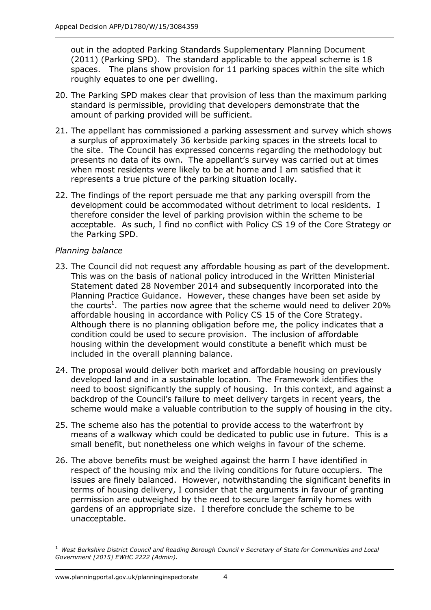out in the adopted Parking Standards Supplementary Planning Document (2011) (Parking SPD). The standard applicable to the appeal scheme is 18 spaces. The plans show provision for 11 parking spaces within the site which roughly equates to one per dwelling.

- 20. The Parking SPD makes clear that provision of less than the maximum parking standard is permissible, providing that developers demonstrate that the amount of parking provided will be sufficient.
- 21. The appellant has commissioned a parking assessment and survey which shows a surplus of approximately 36 kerbside parking spaces in the streets local to the site. The Council has expressed concerns regarding the methodology but presents no data of its own. The appellant's survey was carried out at times when most residents were likely to be at home and I am satisfied that it represents a true picture of the parking situation locally.
- 22. The findings of the report persuade me that any parking overspill from the development could be accommodated without detriment to local residents. I therefore consider the level of parking provision within the scheme to be acceptable. As such, I find no conflict with Policy CS 19 of the Core Strategy or the Parking SPD.

# *Planning balance*

- 23. The Council did not request any affordable housing as part of the development. This was on the basis of national policy introduced in the Written Ministerial Statement dated 28 November 2014 and subsequently incorporated into the Planning Practice Guidance. However, these changes have been set aside by the courts<sup>1</sup>. The parties now agree that the scheme would need to deliver 20% affordable housing in accordance with Policy CS 15 of the Core Strategy. Although there is no planning obligation before me, the policy indicates that a condition could be used to secure provision. The inclusion of affordable housing within the development would constitute a benefit which must be included in the overall planning balance.
- 24. The proposal would deliver both market and affordable housing on previously developed land and in a sustainable location. The Framework identifies the need to boost significantly the supply of housing. In this context, and against a backdrop of the Council's failure to meet delivery targets in recent years, the scheme would make a valuable contribution to the supply of housing in the city.
- 25. The scheme also has the potential to provide access to the waterfront by means of a walkway which could be dedicated to public use in future. This is a small benefit, but nonetheless one which weighs in favour of the scheme.
- 26. The above benefits must be weighed against the harm I have identified in respect of the housing mix and the living conditions for future occupiers. The issues are finely balanced. However, notwithstanding the significant benefits in terms of housing delivery, I consider that the arguments in favour of granting permission are outweighed by the need to secure larger family homes with gardens of an appropriate size. I therefore conclude the scheme to be unacceptable.

 $\overline{a}$ 

<sup>1</sup> *West Berkshire District Council and Reading Borough Council v Secretary of State for Communities and Local Government [2015] EWHC 2222 (Admin).*